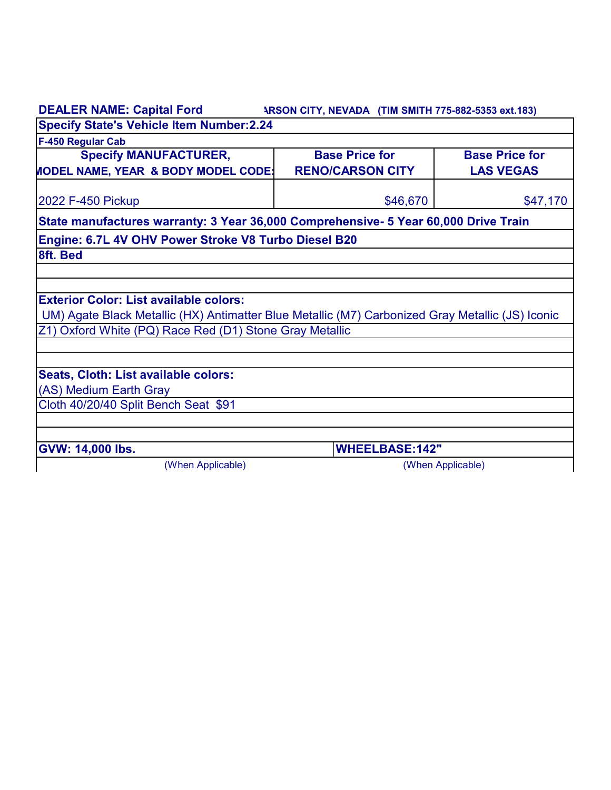| <b>DEALER NAME: Capital Ford</b>                                                                 | ARSON CITY, NEVADA (TIM SMITH 775-882-5353 ext.183) |                       |  |
|--------------------------------------------------------------------------------------------------|-----------------------------------------------------|-----------------------|--|
| <b>Specify State's Vehicle Item Number:2.24</b>                                                  |                                                     |                       |  |
| F-450 Regular Cab                                                                                |                                                     |                       |  |
| <b>Specify MANUFACTURER,</b>                                                                     | <b>Base Price for</b>                               | <b>Base Price for</b> |  |
| <b>MODEL NAME, YEAR &amp; BODY MODEL CODE:</b>                                                   | <b>RENO/CARSON CITY</b>                             | <b>LAS VEGAS</b>      |  |
| 2022 F-450 Pickup                                                                                | \$46,670                                            | \$47,170              |  |
| State manufactures warranty: 3 Year 36,000 Comprehensive- 5 Year 60,000 Drive Train              |                                                     |                       |  |
| Engine: 6.7L 4V OHV Power Stroke V8 Turbo Diesel B20                                             |                                                     |                       |  |
| 8ft. Bed                                                                                         |                                                     |                       |  |
|                                                                                                  |                                                     |                       |  |
|                                                                                                  |                                                     |                       |  |
| <b>Exterior Color: List available colors:</b>                                                    |                                                     |                       |  |
| UM) Agate Black Metallic (HX) Antimatter Blue Metallic (M7) Carbonized Gray Metallic (JS) Iconic |                                                     |                       |  |
| Z1) Oxford White (PQ) Race Red (D1) Stone Gray Metallic                                          |                                                     |                       |  |
|                                                                                                  |                                                     |                       |  |
|                                                                                                  |                                                     |                       |  |
| Seats, Cloth: List available colors:                                                             |                                                     |                       |  |
| (AS) Medium Earth Gray                                                                           |                                                     |                       |  |
| Cloth 40/20/40 Split Bench Seat \$91                                                             |                                                     |                       |  |
|                                                                                                  |                                                     |                       |  |
| <b>GVW: 14,000 lbs.</b>                                                                          | <b>WHEELBASE:142"</b>                               |                       |  |
| (When Applicable)                                                                                |                                                     | (When Applicable)     |  |
|                                                                                                  |                                                     |                       |  |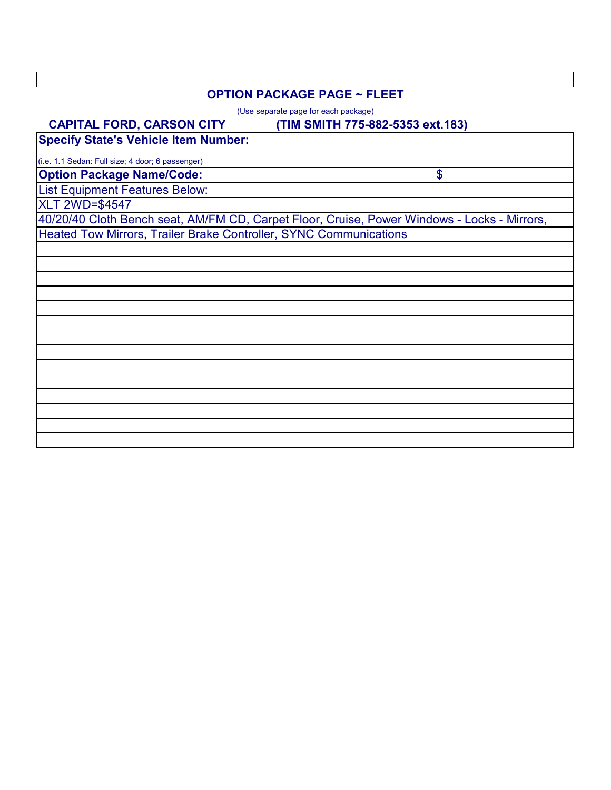#### **OPTION PACKAGE PAGE ~ FLEET**

(Use separate page for each package)

#### **(TIM SMITH 775-882-5353 ext.183)**

\$

**Specify State's Vehicle Item Number: CAPITAL FORD, CARSON CITY**

**Option Package Name/Code:** (i.e. 1.1 Sedan: Full size; 4 door; 6 passenger)

List Equipment Features Below:

XLT 2WD=\$4547

40/20/40 Cloth Bench seat, AM/FM CD, Carpet Floor, Cruise, Power Windows - Locks - Mirrors, Heated Tow Mirrors, Trailer Brake Controller, SYNC Communications